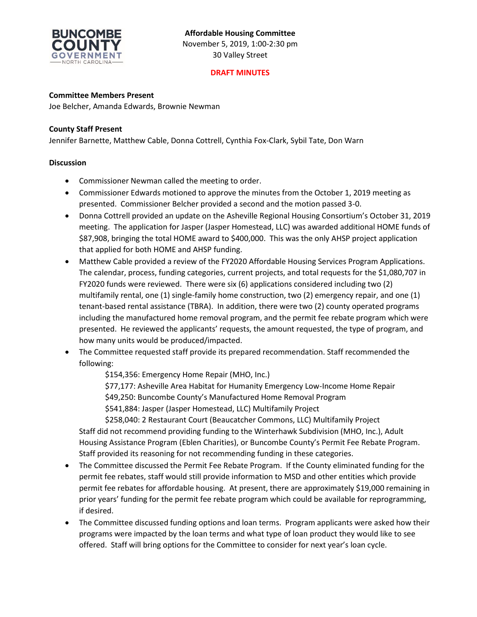

# **DRAFT MINUTES**

#### **Committee Members Present**

Joe Belcher, Amanda Edwards, Brownie Newman

#### **County Staff Present**

Jennifer Barnette, Matthew Cable, Donna Cottrell, Cynthia Fox-Clark, Sybil Tate, Don Warn

#### **Discussion**

- Commissioner Newman called the meeting to order.
- Commissioner Edwards motioned to approve the minutes from the October 1, 2019 meeting as presented. Commissioner Belcher provided a second and the motion passed 3-0.
- Donna Cottrell provided an update on the Asheville Regional Housing Consortium's October 31, 2019 meeting. The application for Jasper (Jasper Homestead, LLC) was awarded additional HOME funds of \$87,908, bringing the total HOME award to \$400,000. This was the only AHSP project application that applied for both HOME and AHSP funding.
- Matthew Cable provided a review of the FY2020 Affordable Housing Services Program Applications. The calendar, process, funding categories, current projects, and total requests for the \$1,080,707 in FY2020 funds were reviewed. There were six (6) applications considered including two (2) multifamily rental, one (1) single-family home construction, two (2) emergency repair, and one (1) tenant-based rental assistance (TBRA). In addition, there were two (2) county operated programs including the manufactured home removal program, and the permit fee rebate program which were presented. He reviewed the applicants' requests, the amount requested, the type of program, and how many units would be produced/impacted.
- The Committee requested staff provide its prepared recommendation. Staff recommended the following:
	- \$154,356: Emergency Home Repair (MHO, Inc.)
	- \$77,177: Asheville Area Habitat for Humanity Emergency Low-Income Home Repair
	- \$49,250: Buncombe County's Manufactured Home Removal Program

\$541,884: Jasper (Jasper Homestead, LLC) Multifamily Project

\$258,040: 2 Restaurant Court (Beaucatcher Commons, LLC) Multifamily Project Staff did not recommend providing funding to the Winterhawk Subdivision (MHO, Inc.), Adult Housing Assistance Program (Eblen Charities), or Buncombe County's Permit Fee Rebate Program. Staff provided its reasoning for not recommending funding in these categories.

- The Committee discussed the Permit Fee Rebate Program. If the County eliminated funding for the permit fee rebates, staff would still provide information to MSD and other entities which provide permit fee rebates for affordable housing. At present, there are approximately \$19,000 remaining in prior years' funding for the permit fee rebate program which could be available for reprogramming, if desired.
- The Committee discussed funding options and loan terms. Program applicants were asked how their programs were impacted by the loan terms and what type of loan product they would like to see offered. Staff will bring options for the Committee to consider for next year's loan cycle.